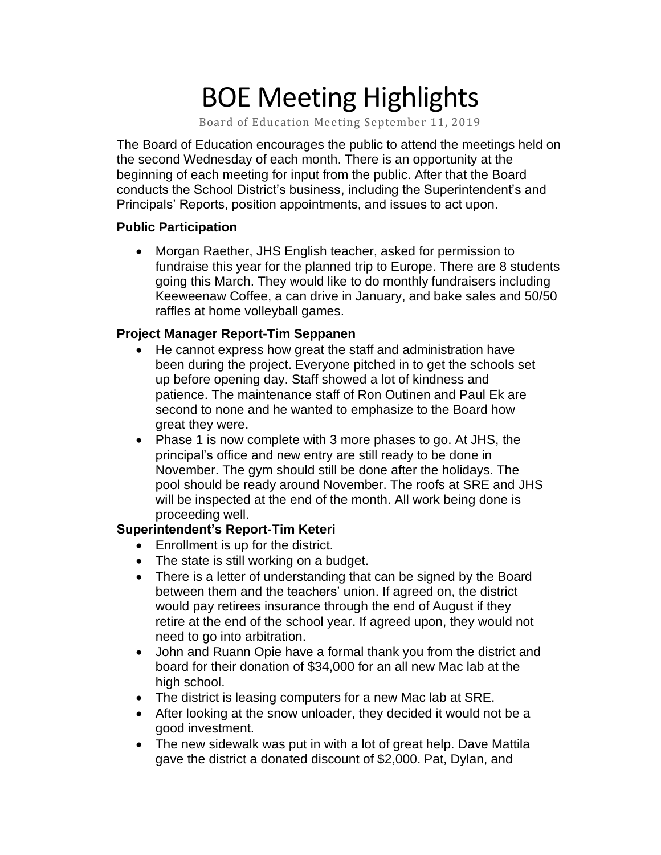# BOE Meeting Highlights

Board of Education Meeting September 11, 2019

 The Board of Education encourages the public to attend the meetings held on the second Wednesday of each month. There is an opportunity at the beginning of each meeting for input from the public. After that the Board conducts the School District's business, including the Superintendent's and Principals' Reports, position appointments, and issues to act upon.

#### **Public Participation**

 • Morgan Raether, JHS English teacher, asked for permission to fundraise this year for the planned trip to Europe. There are 8 students going this March. They would like to do monthly fundraisers including Keeweenaw Coffee, a can drive in January, and bake sales and 50/50 raffles at home volleyball games.

#### **Project Manager Report-Tim Seppanen**

- He cannot express how great the staff and administration have been during the project. Everyone pitched in to get the schools set up before opening day. Staff showed a lot of kindness and patience. The maintenance staff of Ron Outinen and Paul Ek are second to none and he wanted to emphasize to the Board how great they were.
- Phase 1 is now complete with 3 more phases to go. At JHS, the principal's office and new entry are still ready to be done in November. The gym should still be done after the holidays. The pool should be ready around November. The roofs at SRE and JHS will be inspected at the end of the month. All work being done is proceeding well.

#### **Superintendent's Report-Tim Keteri**

- Enrollment is up for the district.
- The state is still working on a budget.
- There is a letter of understanding that can be signed by the Board between them and the teachers' union. If agreed on, the district would pay retirees insurance through the end of August if they retire at the end of the school year. If agreed upon, they would not need to go into arbitration.
- John and Ruann Opie have a formal thank you from the district and board for their donation of \$34,000 for an all new Mac lab at the high school.
- The district is leasing computers for a new Mac lab at SRE.
- After looking at the snow unloader, they decided it would not be a good investment.
- The new sidewalk was put in with a lot of great help. Dave Mattila gave the district a donated discount of \$2,000. Pat, Dylan, and